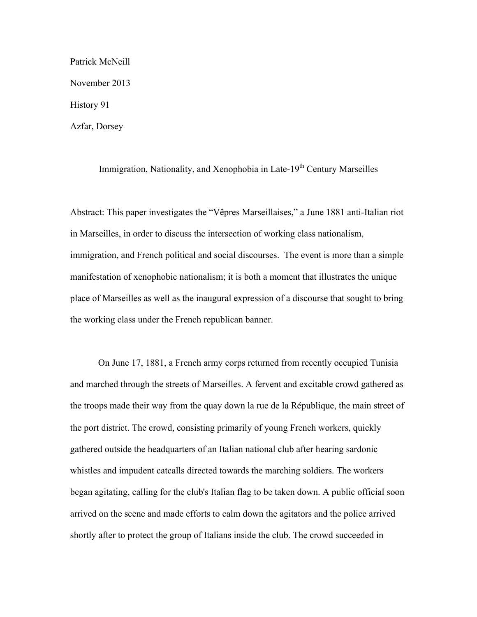Patrick McNeill November 2013 History 91 Azfar, Dorsey

Immigration, Nationality, and Xenophobia in Late-19<sup>th</sup> Century Marseilles

Abstract: This paper investigates the "Vêpres Marseillaises," a June 1881 anti-Italian riot in Marseilles, in order to discuss the intersection of working class nationalism, immigration, and French political and social discourses. The event is more than a simple manifestation of xenophobic nationalism; it is both a moment that illustrates the unique place of Marseilles as well as the inaugural expression of a discourse that sought to bring the working class under the French republican banner.

On June 17, 1881, a French army corps returned from recently occupied Tunisia and marched through the streets of Marseilles. A fervent and excitable crowd gathered as the troops made their way from the quay down la rue de la République, the main street of the port district. The crowd, consisting primarily of young French workers, quickly gathered outside the headquarters of an Italian national club after hearing sardonic whistles and impudent catcalls directed towards the marching soldiers. The workers began agitating, calling for the club's Italian flag to be taken down. A public official soon arrived on the scene and made efforts to calm down the agitators and the police arrived shortly after to protect the group of Italians inside the club. The crowd succeeded in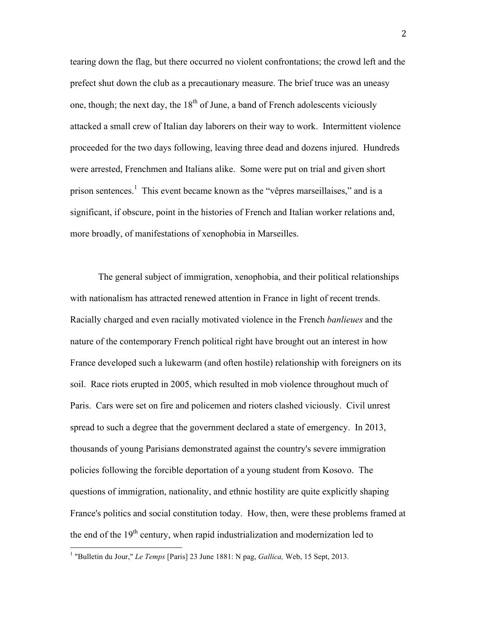tearing down the flag, but there occurred no violent confrontations; the crowd left and the prefect shut down the club as a precautionary measure. The brief truce was an uneasy one, though; the next day, the  $18<sup>th</sup>$  of June, a band of French adolescents viciously attacked a small crew of Italian day laborers on their way to work. Intermittent violence proceeded for the two days following, leaving three dead and dozens injured. Hundreds were arrested, Frenchmen and Italians alike. Some were put on trial and given short prison sentences.<sup>1</sup> This event became known as the "vêpres marseillaises," and is a significant, if obscure, point in the histories of French and Italian worker relations and, more broadly, of manifestations of xenophobia in Marseilles.

The general subject of immigration, xenophobia, and their political relationships with nationalism has attracted renewed attention in France in light of recent trends. Racially charged and even racially motivated violence in the French *banlieues* and the nature of the contemporary French political right have brought out an interest in how France developed such a lukewarm (and often hostile) relationship with foreigners on its soil. Race riots erupted in 2005, which resulted in mob violence throughout much of Paris. Cars were set on fire and policemen and rioters clashed viciously. Civil unrest spread to such a degree that the government declared a state of emergency. In 2013, thousands of young Parisians demonstrated against the country's severe immigration policies following the forcible deportation of a young student from Kosovo. The questions of immigration, nationality, and ethnic hostility are quite explicitly shaping France's politics and social constitution today. How, then, were these problems framed at the end of the  $19<sup>th</sup>$  century, when rapid industrialization and modernization led to

 <sup>1</sup> "Bulletin du Jour," *Le Temps* [Paris] 23 June 1881: N pag, *Gallica,* Web, 15 Sept, 2013.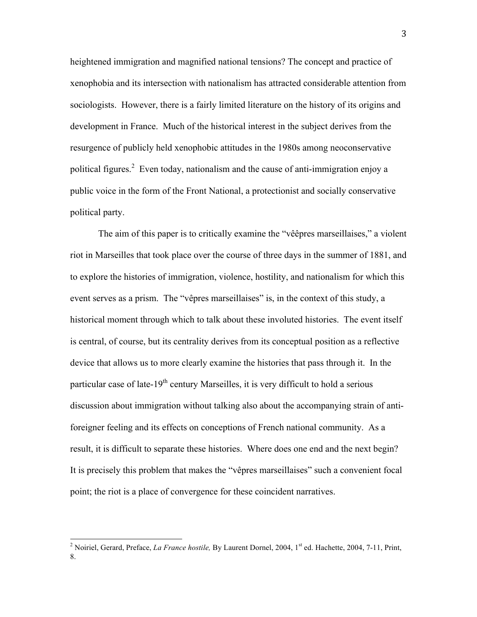heightened immigration and magnified national tensions? The concept and practice of xenophobia and its intersection with nationalism has attracted considerable attention from sociologists. However, there is a fairly limited literature on the history of its origins and development in France. Much of the historical interest in the subject derives from the resurgence of publicly held xenophobic attitudes in the 1980s among neoconservative political figures.<sup>2</sup> Even today, nationalism and the cause of anti-immigration enjoy a public voice in the form of the Front National, a protectionist and socially conservative political party.

The aim of this paper is to critically examine the "vêêpres marseillaises," a violent riot in Marseilles that took place over the course of three days in the summer of 1881, and to explore the histories of immigration, violence, hostility, and nationalism for which this event serves as a prism. The "vêpres marseillaises" is, in the context of this study, a historical moment through which to talk about these involuted histories. The event itself is central, of course, but its centrality derives from its conceptual position as a reflective device that allows us to more clearly examine the histories that pass through it. In the particular case of late- $19<sup>th</sup>$  century Marseilles, it is very difficult to hold a serious discussion about immigration without talking also about the accompanying strain of antiforeigner feeling and its effects on conceptions of French national community. As a result, it is difficult to separate these histories. Where does one end and the next begin? It is precisely this problem that makes the "vêpres marseillaises" such a convenient focal point; the riot is a place of convergence for these coincident narratives.

<sup>&</sup>lt;sup>2</sup> Noiriel, Gerard, Preface, *La France hostile*, By Laurent Dornel, 2004, 1<sup>st</sup> ed. Hachette, 2004, 7-11, Print, 8.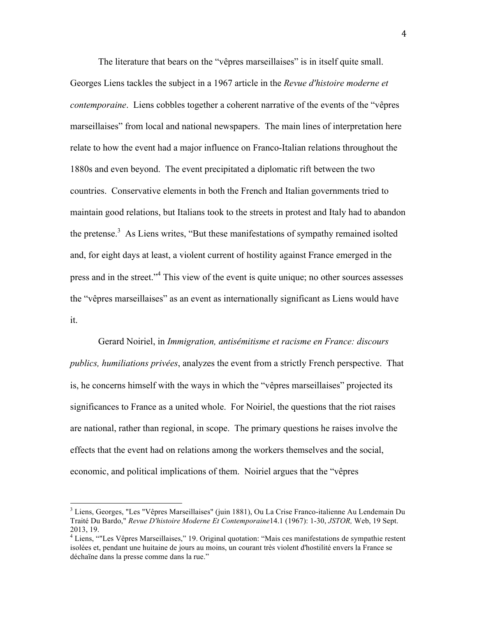The literature that bears on the "vêpres marseillaises" is in itself quite small.

Georges Liens tackles the subject in a 1967 article in the *Revue d'histoire moderne et contemporaine.* Liens cobbles together a coherent narrative of the events of the "vêpres" marseillaises" from local and national newspapers. The main lines of interpretation here relate to how the event had a major influence on Franco-Italian relations throughout the 1880s and even beyond. The event precipitated a diplomatic rift between the two countries. Conservative elements in both the French and Italian governments tried to maintain good relations, but Italians took to the streets in protest and Italy had to abandon the pretense. $3$  As Liens writes, "But these manifestations of sympathy remained isolted and, for eight days at least, a violent current of hostility against France emerged in the press and in the street."<sup>4</sup> This view of the event is quite unique; no other sources assesses the "vêpres marseillaises" as an event as internationally significant as Liens would have it.

Gerard Noiriel, in *Immigration, antisémitisme et racisme en France: discours publics, humiliations privées*, analyzes the event from a strictly French perspective. That is, he concerns himself with the ways in which the "vêpres marseillaises" projected its significances to France as a united whole. For Noiriel, the questions that the riot raises are national, rather than regional, in scope. The primary questions he raises involve the effects that the event had on relations among the workers themselves and the social, economic, and political implications of them. Noiriel argues that the "vêpres

 <sup>3</sup> Liens, Georges, "Les "Vêpres Marseillaises" (juin 1881), Ou La Crise Franco-italienne Au Lendemain Du Traité Du Bardo," *Revue D'histoire Moderne Et Contemporaine*14.1 (1967): 1-30, *JSTOR,* Web, 19 Sept. 2013, 19.

<sup>&</sup>lt;sup>4</sup> Liens, ""Les Vêpres Marseillaises," 19. Original quotation: "Mais ces manifestations de sympathie restent isolées et, pendant une huitaine de jours au moins, un courant très violent d'hostilité envers la France se déchaïne dans la presse comme dans la rue."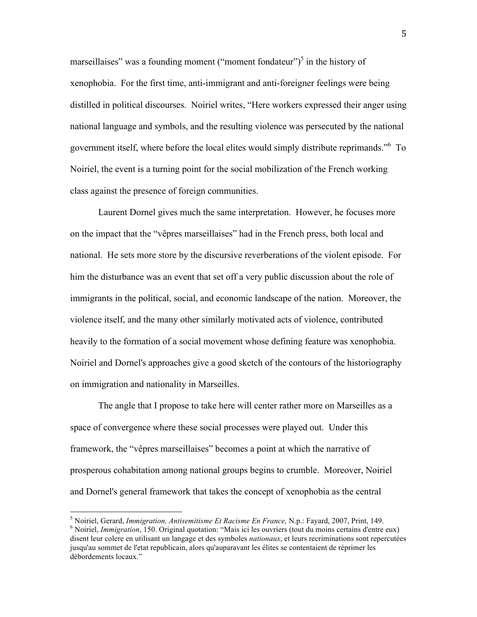marseillaises" was a founding moment ("moment fondateur")<sup>5</sup> in the history of xenophobia. For the first time, anti-immigrant and anti-foreigner feelings were being distilled in political discourses. Noiriel writes, "Here workers expressed their anger using national language and symbols, and the resulting violence was persecuted by the national government itself, where before the local elites would simply distribute reprimands."<sup>6</sup> To Noiriel, the event is a turning point for the social mobilization of the French working class against the presence of foreign communities.

Laurent Dornel gives much the same interpretation. However, he focuses more on the impact that the "vêpres marseillaises" had in the French press, both local and national. He sets more store by the discursive reverberations of the violent episode. For him the disturbance was an event that set off a very public discussion about the role of immigrants in the political, social, and economic landscape of the nation. Moreover, the violence itself, and the many other similarly motivated acts of violence, contributed heavily to the formation of a social movement whose defining feature was xenophobia. Noiriel and Dornel's approaches give a good sketch of the contours of the historiography on immigration and nationality in Marseilles.

The angle that I propose to take here will center rather more on Marseilles as a space of convergence where these social processes were played out. Under this framework, the "vêpres marseillaises" becomes a point at which the narrative of prosperous cohabitation among national groups begins to crumble. Moreover, Noiriel and Dornel's general framework that takes the concept of xenophobia as the central

<sup>&</sup>lt;sup>5</sup> Noiriel, Gerard, *Immigration, Antisemitisme Et Racisme En France*, N.p.: Fayard, 2007, Print, 149.<br><sup>6</sup> Noiriel, *Immigration*, 150. Original quotation: "Mais ici les ouvriers (tout du moins certains d'entre eux) disent leur colere en utilisant un langage et des symboles *nationaux*, et leurs recriminations sont repercutées jusqu'au sommet de l'etat republicain, alors qu'auparavant les élites se contentaient de réprimer les débordements locaux."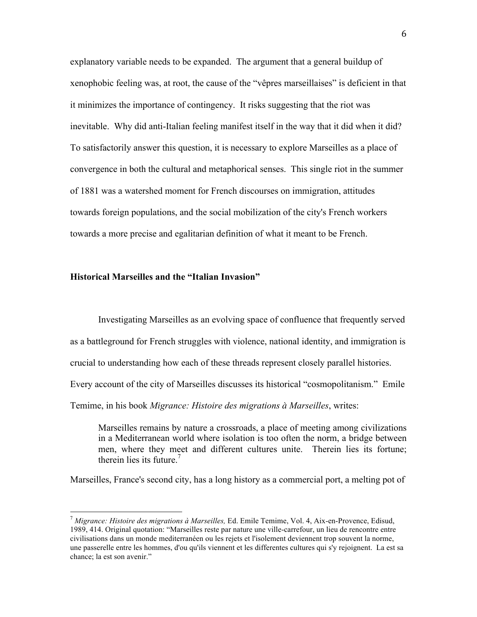explanatory variable needs to be expanded. The argument that a general buildup of xenophobic feeling was, at root, the cause of the "vêpres marseillaises" is deficient in that it minimizes the importance of contingency. It risks suggesting that the riot was inevitable. Why did anti-Italian feeling manifest itself in the way that it did when it did? To satisfactorily answer this question, it is necessary to explore Marseilles as a place of convergence in both the cultural and metaphorical senses. This single riot in the summer of 1881 was a watershed moment for French discourses on immigration, attitudes towards foreign populations, and the social mobilization of the city's French workers towards a more precise and egalitarian definition of what it meant to be French.

## **Historical Marseilles and the "Italian Invasion"**

Investigating Marseilles as an evolving space of confluence that frequently served as a battleground for French struggles with violence, national identity, and immigration is crucial to understanding how each of these threads represent closely parallel histories. Every account of the city of Marseilles discusses its historical "cosmopolitanism." Emile

Temime, in his book *Migrance: Histoire des migrations à Marseilles*, writes:

Marseilles remains by nature a crossroads, a place of meeting among civilizations in a Mediterranean world where isolation is too often the norm, a bridge between men, where they meet and different cultures unite. Therein lies its fortune; therein lies its future.<sup>7</sup>

Marseilles, France's second city, has a long history as a commercial port, a melting pot of

 <sup>7</sup> *Migrance: Histoire des migrations à Marseilles,* Ed. Emile Temime, Vol. 4, Aix-en-Provence, Edisud, 1989, 414. Original quotation: "Marseilles reste par nature une ville-carrefour, un lieu de rencontre entre civilisations dans un monde mediterranéen ou les rejets et l'isolement deviennent trop souvent la norme, une passerelle entre les hommes, d'ou qu'ils viennent et les differentes cultures qui s'y rejoignent. La est sa chance; la est son avenir."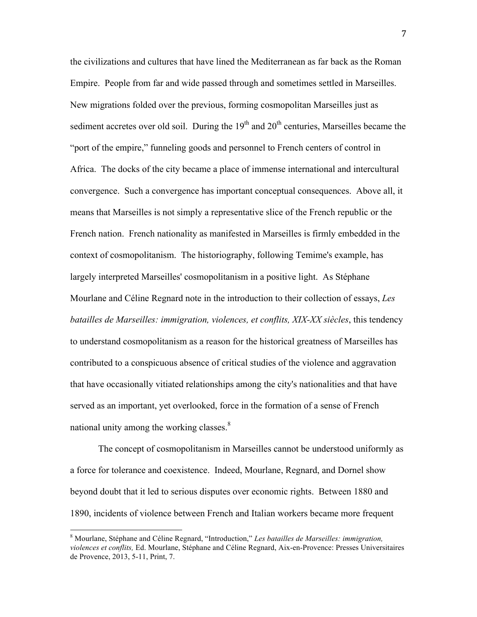the civilizations and cultures that have lined the Mediterranean as far back as the Roman Empire. People from far and wide passed through and sometimes settled in Marseilles. New migrations folded over the previous, forming cosmopolitan Marseilles just as sediment accretes over old soil. During the  $19<sup>th</sup>$  and  $20<sup>th</sup>$  centuries, Marseilles became the "port of the empire," funneling goods and personnel to French centers of control in Africa. The docks of the city became a place of immense international and intercultural convergence. Such a convergence has important conceptual consequences. Above all, it means that Marseilles is not simply a representative slice of the French republic or the French nation. French nationality as manifested in Marseilles is firmly embedded in the context of cosmopolitanism. The historiography, following Temime's example, has largely interpreted Marseilles' cosmopolitanism in a positive light. As Stéphane Mourlane and Céline Regnard note in the introduction to their collection of essays, *Les batailles de Marseilles: immigration, violences, et conflits, XIX-XX siècles*, this tendency to understand cosmopolitanism as a reason for the historical greatness of Marseilles has contributed to a conspicuous absence of critical studies of the violence and aggravation that have occasionally vitiated relationships among the city's nationalities and that have served as an important, yet overlooked, force in the formation of a sense of French national unity among the working classes. $8<sup>8</sup>$ 

The concept of cosmopolitanism in Marseilles cannot be understood uniformly as a force for tolerance and coexistence. Indeed, Mourlane, Regnard, and Dornel show beyond doubt that it led to serious disputes over economic rights. Between 1880 and 1890, incidents of violence between French and Italian workers became more frequent

 <sup>8</sup> Mourlane, Stéphane and Céline Regnard, "Introduction," *Les batailles de Marseilles: immigration, violences et conflits,* Ed. Mourlane, Stéphane and Céline Regnard, Aix-en-Provence: Presses Universitaires de Provence, 2013, 5-11, Print, 7.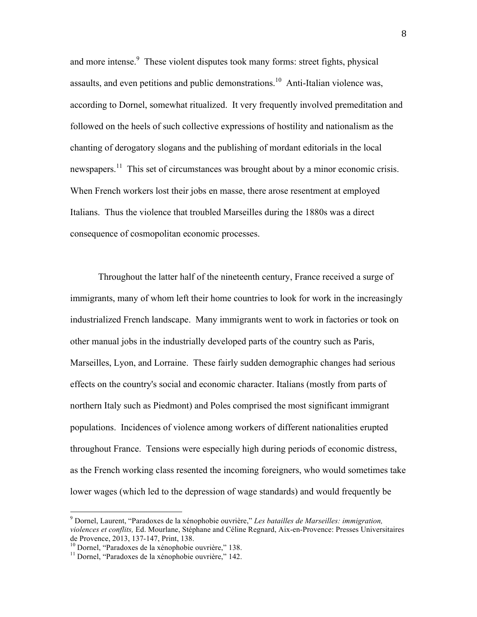and more intense.<sup>9</sup> These violent disputes took many forms: street fights, physical assaults, and even petitions and public demonstrations.10 Anti-Italian violence was, according to Dornel, somewhat ritualized. It very frequently involved premeditation and followed on the heels of such collective expressions of hostility and nationalism as the chanting of derogatory slogans and the publishing of mordant editorials in the local newspapers.<sup>11</sup> This set of circumstances was brought about by a minor economic crisis. When French workers lost their jobs en masse, there arose resentment at employed Italians. Thus the violence that troubled Marseilles during the 1880s was a direct consequence of cosmopolitan economic processes.

Throughout the latter half of the nineteenth century, France received a surge of immigrants, many of whom left their home countries to look for work in the increasingly industrialized French landscape. Many immigrants went to work in factories or took on other manual jobs in the industrially developed parts of the country such as Paris, Marseilles, Lyon, and Lorraine. These fairly sudden demographic changes had serious effects on the country's social and economic character. Italians (mostly from parts of northern Italy such as Piedmont) and Poles comprised the most significant immigrant populations. Incidences of violence among workers of different nationalities erupted throughout France. Tensions were especially high during periods of economic distress, as the French working class resented the incoming foreigners, who would sometimes take lower wages (which led to the depression of wage standards) and would frequently be

 <sup>9</sup> Dornel, Laurent, "Paradoxes de la xénophobie ouvrière," *Les batailles de Marseilles: immigration, violences et conflits,* Ed. Mourlane, Stéphane and Céline Regnard, Aix-en-Provence: Presses Universitaires

 $\frac{10}{11}$  Dornel, "Paradoxes de la xénophobie ouvrière," 138. 11 Dornel, "Paradoxes de la xénophobie ouvrière," 142.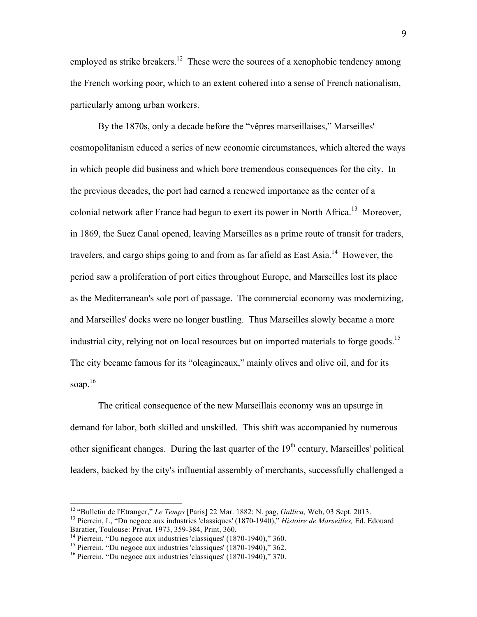employed as strike breakers.<sup>12</sup> These were the sources of a xenophobic tendency among the French working poor, which to an extent cohered into a sense of French nationalism, particularly among urban workers.

By the 1870s, only a decade before the "vêpres marseillaises," Marseilles' cosmopolitanism educed a series of new economic circumstances, which altered the ways in which people did business and which bore tremendous consequences for the city. In the previous decades, the port had earned a renewed importance as the center of a colonial network after France had begun to exert its power in North Africa.<sup>13</sup> Moreover, in 1869, the Suez Canal opened, leaving Marseilles as a prime route of transit for traders, travelers, and cargo ships going to and from as far afield as East Asia.<sup>14</sup> However, the period saw a proliferation of port cities throughout Europe, and Marseilles lost its place as the Mediterranean's sole port of passage. The commercial economy was modernizing, and Marseilles' docks were no longer bustling. Thus Marseilles slowly became a more industrial city, relying not on local resources but on imported materials to forge goods.<sup>15</sup> The city became famous for its "oleagineaux," mainly olives and olive oil, and for its soap. $16$ 

The critical consequence of the new Marseillais economy was an upsurge in demand for labor, both skilled and unskilled. This shift was accompanied by numerous other significant changes. During the last quarter of the  $19<sup>th</sup>$  century, Marseilles' political leaders, backed by the city's influential assembly of merchants, successfully challenged a

<sup>&</sup>lt;sup>12</sup> "Bulletin de l'Etranger," *Le Temps* [Paris] 22 Mar. 1882: N. pag, *Gallica*, Web, 03 Sept. 2013.<br><sup>13</sup> Pierrein, L, "Du negoce aux industries 'classiques' (1870-1940)," *Histoire de Marseilles*, Ed. Edouard

Baratier, Toulouse: Privat, 1973, 359-384, Print, 360.<br><sup>14</sup> Pierrein, "Du negoce aux industries 'classiques' (1870-1940)," 360.<br><sup>15</sup> Pierrein, "Du negoce aux industries 'classiques' (1870-1940)," 362.<br><sup>16</sup> Pierrein, "Du ne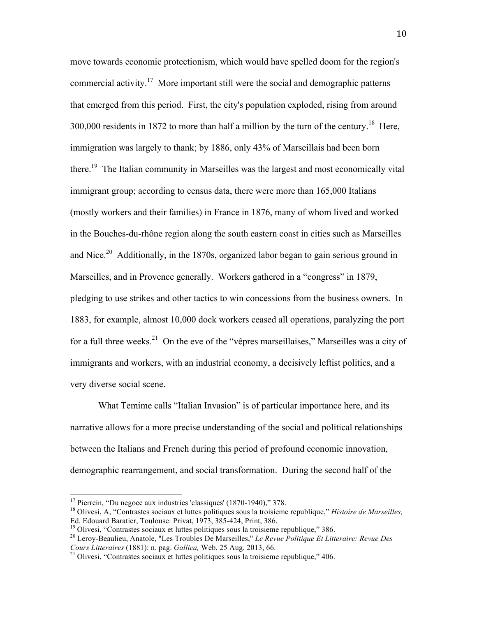move towards economic protectionism, which would have spelled doom for the region's commercial activity.17 More important still were the social and demographic patterns that emerged from this period. First, the city's population exploded, rising from around 300,000 residents in 1872 to more than half a million by the turn of the century.<sup>18</sup> Here, immigration was largely to thank; by 1886, only 43% of Marseillais had been born there.19 The Italian community in Marseilles was the largest and most economically vital immigrant group; according to census data, there were more than 165,000 Italians (mostly workers and their families) in France in 1876, many of whom lived and worked in the Bouches-du-rhône region along the south eastern coast in cities such as Marseilles and Nice.<sup>20</sup> Additionally, in the 1870s, organized labor began to gain serious ground in Marseilles, and in Provence generally. Workers gathered in a "congress" in 1879, pledging to use strikes and other tactics to win concessions from the business owners. In 1883, for example, almost 10,000 dock workers ceased all operations, paralyzing the port for a full three weeks.<sup>21</sup> On the eve of the "vêpres marseillaises," Marseilles was a city of immigrants and workers, with an industrial economy, a decisively leftist politics, and a very diverse social scene.

What Temime calls "Italian Invasion" is of particular importance here, and its narrative allows for a more precise understanding of the social and political relationships between the Italians and French during this period of profound economic innovation, demographic rearrangement, and social transformation. During the second half of the

<sup>&</sup>lt;sup>17</sup> Pierrein, "Du negoce aux industries 'classiques' (1870-1940)," 378.<br><sup>18</sup> Olivesi, A, "Contrastes sociaux et luttes politiques sous la troisieme republique," *Histoire de Marseilles,*<br>Ed. Edouard Baratier, Toulouse: Pr

<sup>&</sup>lt;sup>19</sup> Olivesi, "Contrastes sociaux et luttes politiques sous la troisieme republique," 386.<br><sup>20</sup> Leroy-Beaulieu, Anatole, "Les Troubles De Marseilles," *Le Revue Politique Et Litteraire: Revue Des Cours Litteraires* (1881)

<sup>&</sup>lt;sup>21</sup> Olivesi, "Contrastes sociaux et luttes politiques sous la troisieme republique," 406.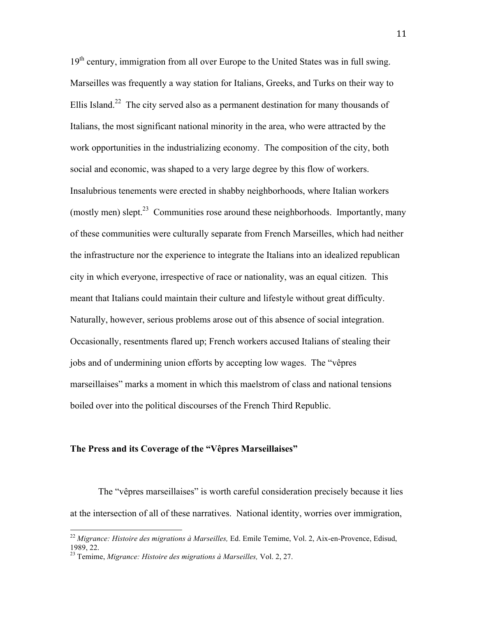$19<sup>th</sup>$  century, immigration from all over Europe to the United States was in full swing. Marseilles was frequently a way station for Italians, Greeks, and Turks on their way to Ellis Island.<sup>22</sup> The city served also as a permanent destination for many thousands of Italians, the most significant national minority in the area, who were attracted by the work opportunities in the industrializing economy. The composition of the city, both social and economic, was shaped to a very large degree by this flow of workers. Insalubrious tenements were erected in shabby neighborhoods, where Italian workers (mostly men) slept.<sup>23</sup> Communities rose around these neighborhoods. Importantly, many of these communities were culturally separate from French Marseilles, which had neither the infrastructure nor the experience to integrate the Italians into an idealized republican city in which everyone, irrespective of race or nationality, was an equal citizen. This meant that Italians could maintain their culture and lifestyle without great difficulty. Naturally, however, serious problems arose out of this absence of social integration. Occasionally, resentments flared up; French workers accused Italians of stealing their jobs and of undermining union efforts by accepting low wages. The "vêpres marseillaises" marks a moment in which this maelstrom of class and national tensions boiled over into the political discourses of the French Third Republic.

## **The Press and its Coverage of the "Vêpres Marseillaises"**

The "vêpres marseillaises" is worth careful consideration precisely because it lies at the intersection of all of these narratives. National identity, worries over immigration,

 <sup>22</sup> *Migrance: Histoire des migrations à Marseilles,* Ed. Emile Temime, Vol. 2, Aix-en-Provence, Edisud, 1989, 22.

<sup>23</sup> Temime, *Migrance: Histoire des migrations à Marseilles,* Vol. 2, 27.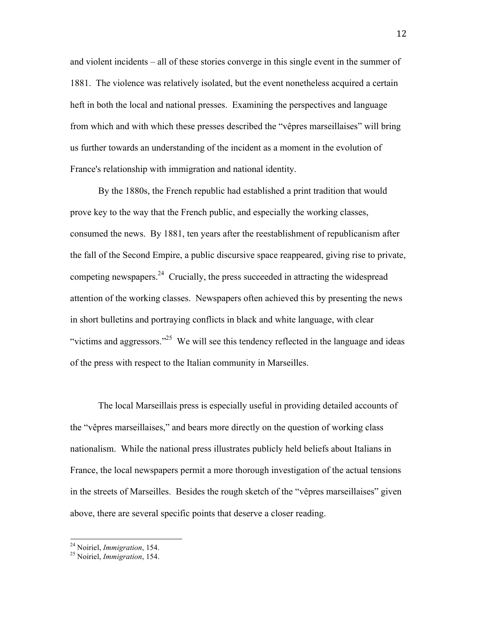and violent incidents – all of these stories converge in this single event in the summer of 1881. The violence was relatively isolated, but the event nonetheless acquired a certain heft in both the local and national presses. Examining the perspectives and language from which and with which these presses described the "vêpres marseillaises" will bring us further towards an understanding of the incident as a moment in the evolution of France's relationship with immigration and national identity.

By the 1880s, the French republic had established a print tradition that would prove key to the way that the French public, and especially the working classes, consumed the news. By 1881, ten years after the reestablishment of republicanism after the fall of the Second Empire, a public discursive space reappeared, giving rise to private, competing newspapers.24 Crucially, the press succeeded in attracting the widespread attention of the working classes. Newspapers often achieved this by presenting the news in short bulletins and portraying conflicts in black and white language, with clear "victims and aggressors."<sup>25</sup> We will see this tendency reflected in the language and ideas of the press with respect to the Italian community in Marseilles.

The local Marseillais press is especially useful in providing detailed accounts of the "vêpres marseillaises," and bears more directly on the question of working class nationalism. While the national press illustrates publicly held beliefs about Italians in France, the local newspapers permit a more thorough investigation of the actual tensions in the streets of Marseilles. Besides the rough sketch of the "vêpres marseillaises" given above, there are several specific points that deserve a closer reading.

 <sup>24</sup> Noiriel, *Immigration*, 154. <sup>25</sup> Noiriel, *Immigration*, 154.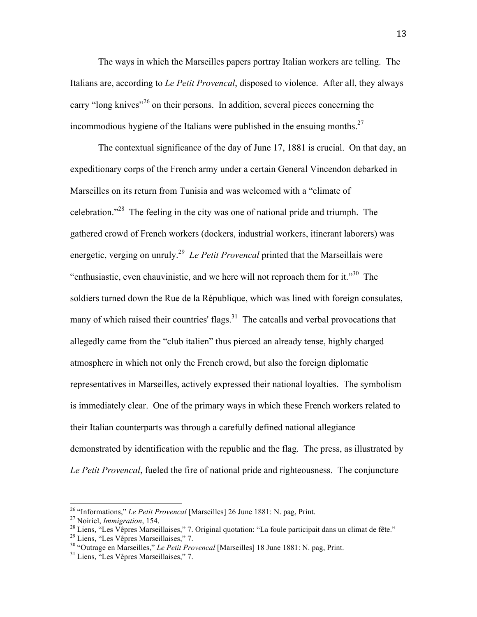The ways in which the Marseilles papers portray Italian workers are telling. The Italians are, according to *Le Petit Provencal*, disposed to violence. After all, they always carry "long knives"<sup>26</sup> on their persons. In addition, several pieces concerning the incommodious hygiene of the Italians were published in the ensuing months.<sup>27</sup>

The contextual significance of the day of June 17, 1881 is crucial. On that day, an expeditionary corps of the French army under a certain General Vincendon debarked in Marseilles on its return from Tunisia and was welcomed with a "climate of celebration."<sup>28</sup> The feeling in the city was one of national pride and triumph. The gathered crowd of French workers (dockers, industrial workers, itinerant laborers) was energetic, verging on unruly.<sup>29</sup> *Le Petit Provencal* printed that the Marseillais were "enthusiastic, even chauvinistic, and we here will not reproach them for it."<sup>30</sup> The soldiers turned down the Rue de la République, which was lined with foreign consulates, many of which raised their countries' flags. $31$  The catcalls and verbal provocations that allegedly came from the "club italien" thus pierced an already tense, highly charged atmosphere in which not only the French crowd, but also the foreign diplomatic representatives in Marseilles, actively expressed their national loyalties. The symbolism is immediately clear. One of the primary ways in which these French workers related to their Italian counterparts was through a carefully defined national allegiance demonstrated by identification with the republic and the flag. The press, as illustrated by *Le Petit Provencal*, fueled the fire of national pride and righteousness. The conjuncture

<sup>&</sup>lt;sup>26</sup> "Informations," *Le Petit Provencal* [Marseilles] 26 June 1881: N. pag, Print.<br><sup>27</sup> Noiriel, *Immigration*, 154.<br><sup>28</sup> Liens, "Les Vêpres Marseillaises," 7. Original quotation: "La foule participait dans un climat de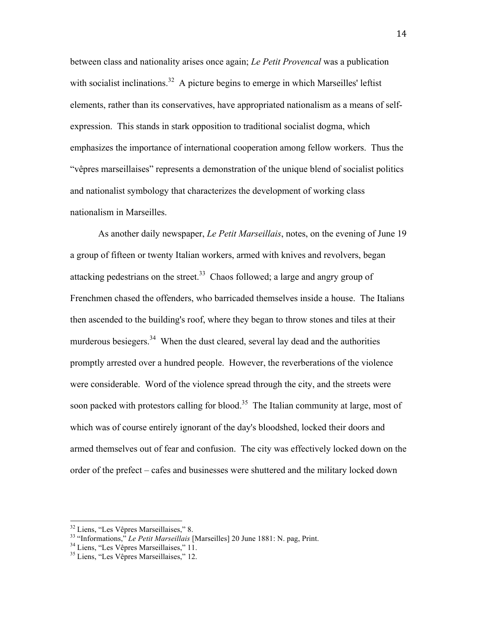between class and nationality arises once again; *Le Petit Provencal* was a publication with socialist inclinations.<sup>32</sup> A picture begins to emerge in which Marseilles' leftist elements, rather than its conservatives, have appropriated nationalism as a means of selfexpression. This stands in stark opposition to traditional socialist dogma, which emphasizes the importance of international cooperation among fellow workers. Thus the "vêpres marseillaises" represents a demonstration of the unique blend of socialist politics and nationalist symbology that characterizes the development of working class nationalism in Marseilles.

As another daily newspaper, *Le Petit Marseillais*, notes, on the evening of June 19 a group of fifteen or twenty Italian workers, armed with knives and revolvers, began attacking pedestrians on the street. $33$  Chaos followed; a large and angry group of Frenchmen chased the offenders, who barricaded themselves inside a house. The Italians then ascended to the building's roof, where they began to throw stones and tiles at their murderous besiegers.<sup>34</sup> When the dust cleared, several lay dead and the authorities promptly arrested over a hundred people. However, the reverberations of the violence were considerable. Word of the violence spread through the city, and the streets were soon packed with protestors calling for blood.<sup>35</sup> The Italian community at large, most of which was of course entirely ignorant of the day's bloodshed, locked their doors and armed themselves out of fear and confusion. The city was effectively locked down on the order of the prefect – cafes and businesses were shuttered and the military locked down

<sup>&</sup>lt;sup>32</sup> Liens, "Les Vêpres Marseillaises," 8.<br><sup>33</sup> "Informations," *Le Petit Marseillais* [Marseilles] 20 June 1881: N. pag, Print.<br><sup>34</sup> Liens, "Les Vêpres Marseillaises," 12.<br><sup>35</sup> Liens, "Les Vêpres Marseillaises," 12.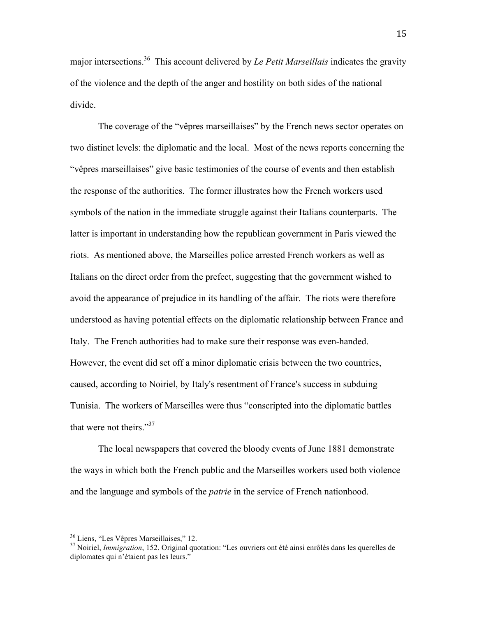major intersections.36 This account delivered by *Le Petit Marseillais* indicates the gravity of the violence and the depth of the anger and hostility on both sides of the national divide.

The coverage of the "vêpres marseillaises" by the French news sector operates on two distinct levels: the diplomatic and the local. Most of the news reports concerning the "vêpres marseillaises" give basic testimonies of the course of events and then establish the response of the authorities. The former illustrates how the French workers used symbols of the nation in the immediate struggle against their Italians counterparts. The latter is important in understanding how the republican government in Paris viewed the riots. As mentioned above, the Marseilles police arrested French workers as well as Italians on the direct order from the prefect, suggesting that the government wished to avoid the appearance of prejudice in its handling of the affair. The riots were therefore understood as having potential effects on the diplomatic relationship between France and Italy. The French authorities had to make sure their response was even-handed. However, the event did set off a minor diplomatic crisis between the two countries, caused, according to Noiriel, by Italy's resentment of France's success in subduing Tunisia. The workers of Marseilles were thus "conscripted into the diplomatic battles that were not theirs." $37$ 

The local newspapers that covered the bloody events of June 1881 demonstrate the ways in which both the French public and the Marseilles workers used both violence and the language and symbols of the *patrie* in the service of French nationhood.

 <sup>36</sup> Liens, "Les Vêpres Marseillaises," 12. <sup>37</sup> Noiriel, *Immigration*, 152. Original quotation: "Les ouvriers ont été ainsi enrôlés dans les querelles de diplomates qui n'étaient pas les leurs."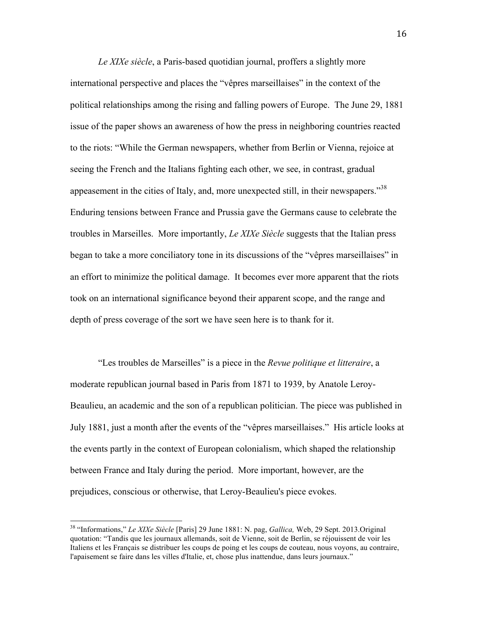*Le XIXe siècle*, a Paris-based quotidian journal, proffers a slightly more international perspective and places the "vêpres marseillaises" in the context of the political relationships among the rising and falling powers of Europe. The June 29, 1881 issue of the paper shows an awareness of how the press in neighboring countries reacted to the riots: "While the German newspapers, whether from Berlin or Vienna, rejoice at seeing the French and the Italians fighting each other, we see, in contrast, gradual appeasement in the cities of Italy, and, more unexpected still, in their newspapers."<sup>38</sup> Enduring tensions between France and Prussia gave the Germans cause to celebrate the troubles in Marseilles. More importantly, *Le XIXe Siècle* suggests that the Italian press began to take a more conciliatory tone in its discussions of the "vêpres marseillaises" in an effort to minimize the political damage. It becomes ever more apparent that the riots took on an international significance beyond their apparent scope, and the range and depth of press coverage of the sort we have seen here is to thank for it.

"Les troubles de Marseilles" is a piece in the *Revue politique et litteraire*, a moderate republican journal based in Paris from 1871 to 1939, by Anatole Leroy-Beaulieu, an academic and the son of a republican politician. The piece was published in July 1881, just a month after the events of the "vêpres marseillaises." His article looks at the events partly in the context of European colonialism, which shaped the relationship between France and Italy during the period. More important, however, are the prejudices, conscious or otherwise, that Leroy-Beaulieu's piece evokes.

 <sup>38</sup> "Informations," *Le XIXe Siècle* [Paris] 29 June 1881: N. pag, *Gallica,* Web, 29 Sept. 2013.Original quotation: "Tandis que les journaux allemands, soit de Vienne, soit de Berlin, se réjouissent de voir les Italiens et les Français se distribuer les coups de poing et les coups de couteau, nous voyons, au contraire, l'apaisement se faire dans les villes d'Italie, et, chose plus inattendue, dans leurs journaux."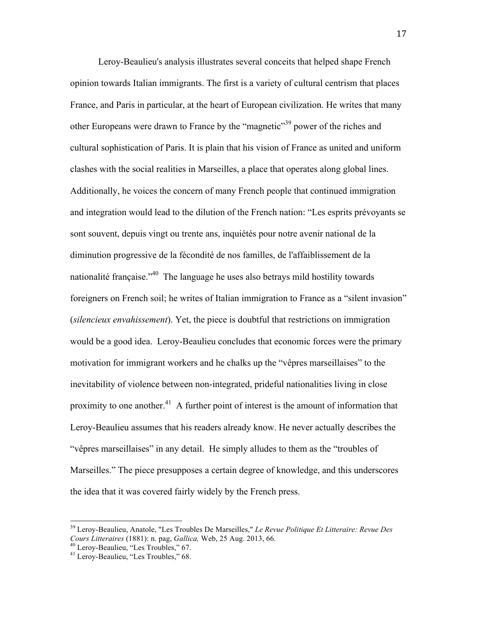Leroy-Beaulieu's analysis illustrates several conceits that helped shape French opinion towards Italian immigrants. The first is a variety of cultural centrism that places France, and Paris in particular, at the heart of European civilization. He writes that many other Europeans were drawn to France by the "magnetic"<sup>39</sup> power of the riches and cultural sophistication of Paris. It is plain that his vision of France as united and uniform clashes with the social realities in Marseilles, a place that operates along global lines. Additionally, he voices the concern of many French people that continued immigration and integration would lead to the dilution of the French nation: "Les esprits prévoyants se sont souvent, depuis vingt ou trente ans, inquiétés pour notre avenir national de la diminution progressive de la fécondité de nos familles, de l'affaiblissement de la nationalité française."40 The language he uses also betrays mild hostility towards foreigners on French soil; he writes of Italian immigration to France as a "silent invasion" (*silencieux envahissement*). Yet, the piece is doubtful that restrictions on immigration would be a good idea. Leroy-Beaulieu concludes that economic forces were the primary motivation for immigrant workers and he chalks up the "vêpres marseillaises" to the inevitability of violence between non-integrated, prideful nationalities living in close proximity to one another.<sup>41</sup> A further point of interest is the amount of information that Leroy-Beaulieu assumes that his readers already know. He never actually describes the "vêpres marseillaises" in any detail. He simply alludes to them as the "troubles of Marseilles." The piece presupposes a certain degree of knowledge, and this underscores the idea that it was covered fairly widely by the French press.

 <sup>39</sup> Leroy-Beaulieu, Anatole, "Les Troubles De Marseilles," *Le Revue Politique Et Litteraire: Revue Des* 

<sup>&</sup>lt;sup>40</sup> Leroy-Beaulieu, "Les Troubles," 67.<br><sup>41</sup> Leroy-Beaulieu, "Les Troubles," 68.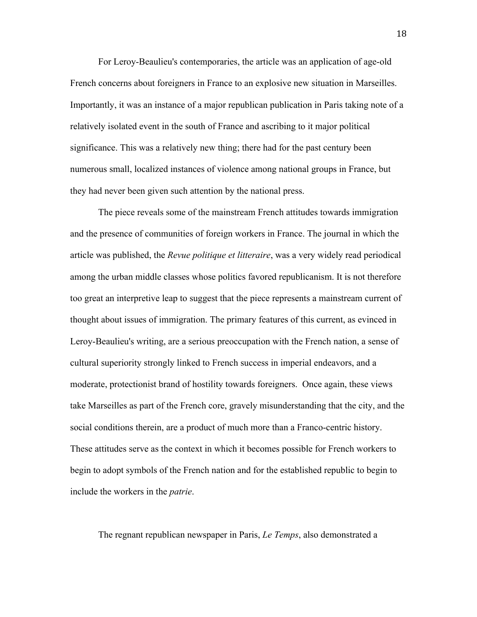For Leroy-Beaulieu's contemporaries, the article was an application of age-old French concerns about foreigners in France to an explosive new situation in Marseilles. Importantly, it was an instance of a major republican publication in Paris taking note of a relatively isolated event in the south of France and ascribing to it major political significance. This was a relatively new thing; there had for the past century been numerous small, localized instances of violence among national groups in France, but they had never been given such attention by the national press.

The piece reveals some of the mainstream French attitudes towards immigration and the presence of communities of foreign workers in France. The journal in which the article was published, the *Revue politique et litteraire*, was a very widely read periodical among the urban middle classes whose politics favored republicanism. It is not therefore too great an interpretive leap to suggest that the piece represents a mainstream current of thought about issues of immigration. The primary features of this current, as evinced in Leroy-Beaulieu's writing, are a serious preoccupation with the French nation, a sense of cultural superiority strongly linked to French success in imperial endeavors, and a moderate, protectionist brand of hostility towards foreigners. Once again, these views take Marseilles as part of the French core, gravely misunderstanding that the city, and the social conditions therein, are a product of much more than a Franco-centric history. These attitudes serve as the context in which it becomes possible for French workers to begin to adopt symbols of the French nation and for the established republic to begin to include the workers in the *patrie*.

The regnant republican newspaper in Paris, *Le Temps*, also demonstrated a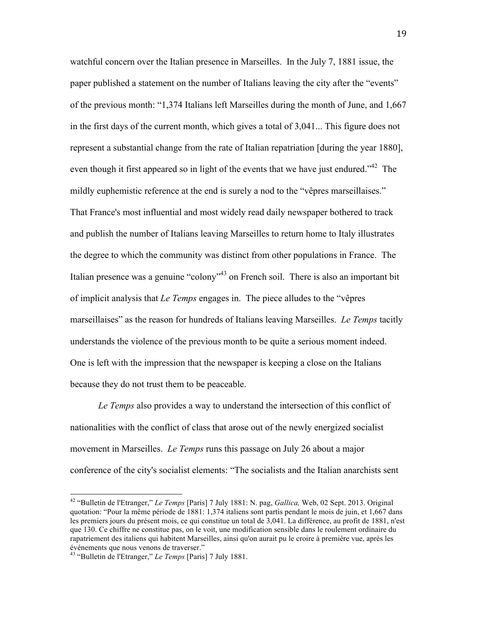watchful concern over the Italian presence in Marseilles. In the July 7, 1881 issue, the paper published a statement on the number of Italians leaving the city after the "events" of the previous month: "1,374 Italians left Marseilles during the month of June, and 1,667 in the first days of the current month, which gives a total of 3,041... This figure does not represent a substantial change from the rate of Italian repatriation [during the year 1880], even though it first appeared so in light of the events that we have just endured."<sup>42</sup> The mildly euphemistic reference at the end is surely a nod to the "vêpres marseillaises." That France's most influential and most widely read daily newspaper bothered to track and publish the number of Italians leaving Marseilles to return home to Italy illustrates the degree to which the community was distinct from other populations in France. The Italian presence was a genuine "colony"<sup>43</sup> on French soil. There is also an important bit of implicit analysis that *Le Temps* engages in. The piece alludes to the "vêpres marseillaises" as the reason for hundreds of Italians leaving Marseilles. *Le Temps* tacitly understands the violence of the previous month to be quite a serious moment indeed. One is left with the impression that the newspaper is keeping a close on the Italians because they do not trust them to be peaceable.

*Le Temps* also provides a way to understand the intersection of this conflict of nationalities with the conflict of class that arose out of the newly energized socialist movement in Marseilles. *Le Temps* runs this passage on July 26 about a major conference of the city's socialist elements: "The socialists and the Italian anarchists sent

 <sup>42</sup> "Bulletin de l'Etranger," *Le Temps* [Paris] 7 July 1881: N. pag, *Gallica,* Web, 02 Sept. 2013. Original quotation: "Pour la même période de 1881: 1,374 italiens sont partis pendant le mois de juin, et 1,667 dans les premiers jours du présent mois, ce qui constitue un total de 3,041. La différence, au profit de 1881, n'est que 130. Ce chiffre ne constitue pas, on le voit, une modification sensible dans le roulement ordinaire du rapatriement des italiens qui habitent Marseilles, ainsi qu'on aurait pu le croire à première vue, après les événements que nous venons de traverser."

<sup>43</sup> "Bulletin de l'Etranger," *Le Temps* [Paris] 7 July 1881.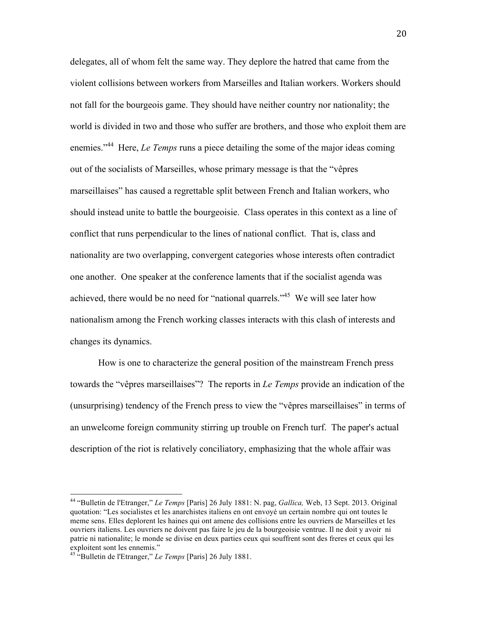delegates, all of whom felt the same way. They deplore the hatred that came from the violent collisions between workers from Marseilles and Italian workers. Workers should not fall for the bourgeois game. They should have neither country nor nationality; the world is divided in two and those who suffer are brothers, and those who exploit them are enemies."<sup>44</sup> Here, *Le Temps* runs a piece detailing the some of the major ideas coming out of the socialists of Marseilles, whose primary message is that the "vêpres marseillaises" has caused a regrettable split between French and Italian workers, who should instead unite to battle the bourgeoisie. Class operates in this context as a line of conflict that runs perpendicular to the lines of national conflict. That is, class and nationality are two overlapping, convergent categories whose interests often contradict one another. One speaker at the conference laments that if the socialist agenda was achieved, there would be no need for "national quarrels."45 We will see later how nationalism among the French working classes interacts with this clash of interests and changes its dynamics.

How is one to characterize the general position of the mainstream French press towards the "vêpres marseillaises"? The reports in *Le Temps* provide an indication of the (unsurprising) tendency of the French press to view the "vêpres marseillaises" in terms of an unwelcome foreign community stirring up trouble on French turf. The paper's actual description of the riot is relatively conciliatory, emphasizing that the whole affair was

 <sup>44</sup> "Bulletin de l'Etranger," *Le Temps* [Paris] 26 July 1881: N. pag, *Gallica,* Web, 13 Sept. 2013. Original quotation: "Les socialistes et les anarchistes italiens en ont envoyé un certain nombre qui ont toutes le meme sens. Elles deplorent les haines qui ont amene des collisions entre les ouvriers de Marseilles et les ouvriers italiens. Les ouvriers ne doivent pas faire le jeu de la bourgeoisie ventrue. Il ne doit y avoir ni patrie ni nationalite; le monde se divise en deux parties ceux qui souffrent sont des freres et ceux qui les exploitent sont les ennemis." <sup>45</sup> "Bulletin de l'Etranger," *Le Temps* [Paris] 26 July 1881.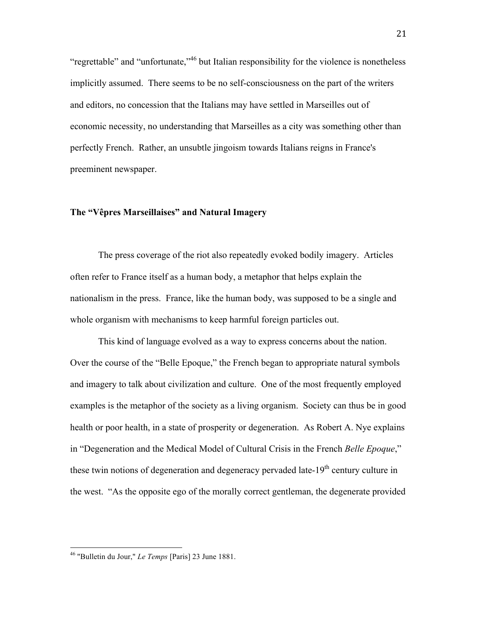"regrettable" and "unfortunate,"<sup>46</sup> but Italian responsibility for the violence is nonetheless implicitly assumed. There seems to be no self-consciousness on the part of the writers and editors, no concession that the Italians may have settled in Marseilles out of economic necessity, no understanding that Marseilles as a city was something other than perfectly French. Rather, an unsubtle jingoism towards Italians reigns in France's preeminent newspaper.

## **The "Vêpres Marseillaises" and Natural Imagery**

The press coverage of the riot also repeatedly evoked bodily imagery. Articles often refer to France itself as a human body, a metaphor that helps explain the nationalism in the press. France, like the human body, was supposed to be a single and whole organism with mechanisms to keep harmful foreign particles out.

This kind of language evolved as a way to express concerns about the nation. Over the course of the "Belle Epoque," the French began to appropriate natural symbols and imagery to talk about civilization and culture. One of the most frequently employed examples is the metaphor of the society as a living organism. Society can thus be in good health or poor health, in a state of prosperity or degeneration. As Robert A. Nye explains in "Degeneration and the Medical Model of Cultural Crisis in the French *Belle Epoque*," these twin notions of degeneration and degeneracy pervaded late- $19<sup>th</sup>$  century culture in the west. "As the opposite ego of the morally correct gentleman, the degenerate provided

 <sup>46</sup> "Bulletin du Jour," *Le Temps* [Paris] 23 June 1881.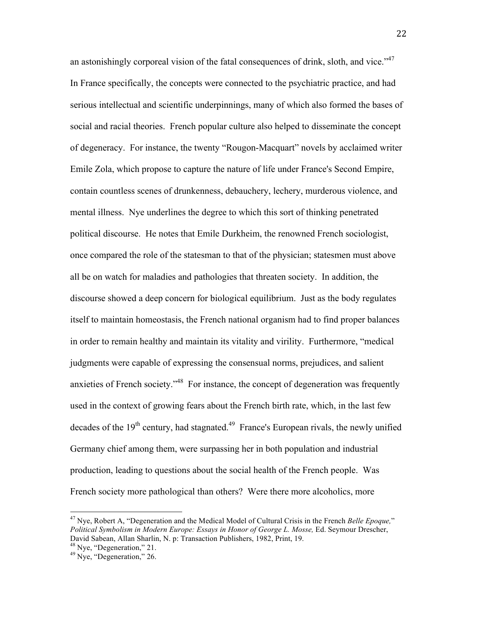an astonishingly corporeal vision of the fatal consequences of drink, sloth, and vice."<sup>47</sup> In France specifically, the concepts were connected to the psychiatric practice, and had serious intellectual and scientific underpinnings, many of which also formed the bases of social and racial theories. French popular culture also helped to disseminate the concept of degeneracy. For instance, the twenty "Rougon-Macquart" novels by acclaimed writer Emile Zola, which propose to capture the nature of life under France's Second Empire, contain countless scenes of drunkenness, debauchery, lechery, murderous violence, and mental illness. Nye underlines the degree to which this sort of thinking penetrated political discourse. He notes that Emile Durkheim, the renowned French sociologist, once compared the role of the statesman to that of the physician; statesmen must above all be on watch for maladies and pathologies that threaten society. In addition, the discourse showed a deep concern for biological equilibrium. Just as the body regulates itself to maintain homeostasis, the French national organism had to find proper balances in order to remain healthy and maintain its vitality and virility. Furthermore, "medical judgments were capable of expressing the consensual norms, prejudices, and salient anxieties of French society."48 For instance, the concept of degeneration was frequently used in the context of growing fears about the French birth rate, which, in the last few decades of the  $19<sup>th</sup>$  century, had stagnated.<sup>49</sup> France's European rivals, the newly unified Germany chief among them, were surpassing her in both population and industrial production, leading to questions about the social health of the French people. Was French society more pathological than others? Were there more alcoholics, more

 <sup>47</sup> Nye, Robert A, "Degeneration and the Medical Model of Cultural Crisis in the French *Belle Epoque,*" *Political Symbolism in Modern Europe: Essays in Honor of George L. Mosse,* Ed. Seymour Drescher, David Sabean, Allan Sharlin, N. p: Transaction Publishers, 1982, Print, 19.

 $^{48}$  Nye, "Degeneration," 21.<br> $^{49}$  Nye, "Degeneration," 26.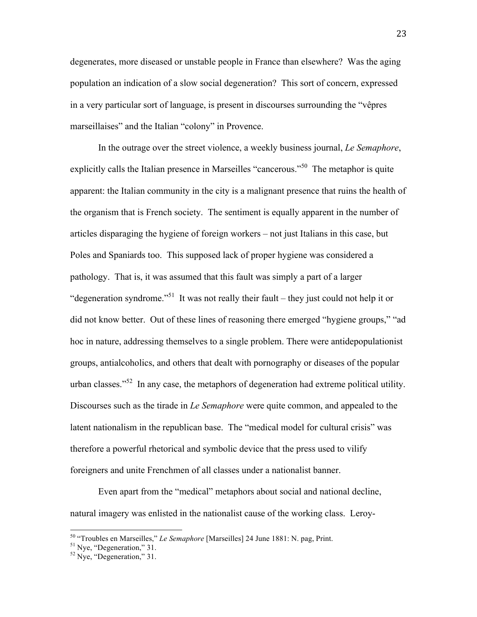degenerates, more diseased or unstable people in France than elsewhere? Was the aging population an indication of a slow social degeneration? This sort of concern, expressed in a very particular sort of language, is present in discourses surrounding the "vêpres marseillaises" and the Italian "colony" in Provence.

In the outrage over the street violence, a weekly business journal, *Le Semaphore*, explicitly calls the Italian presence in Marseilles "cancerous."<sup>50</sup> The metaphor is quite apparent: the Italian community in the city is a malignant presence that ruins the health of the organism that is French society. The sentiment is equally apparent in the number of articles disparaging the hygiene of foreign workers – not just Italians in this case, but Poles and Spaniards too. This supposed lack of proper hygiene was considered a pathology. That is, it was assumed that this fault was simply a part of a larger "degeneration syndrome."<sup>51</sup> It was not really their fault – they just could not help it or did not know better. Out of these lines of reasoning there emerged "hygiene groups," "ad hoc in nature, addressing themselves to a single problem. There were antidepopulationist groups, antialcoholics, and others that dealt with pornography or diseases of the popular urban classes."52 In any case, the metaphors of degeneration had extreme political utility. Discourses such as the tirade in *Le Semaphore* were quite common, and appealed to the latent nationalism in the republican base. The "medical model for cultural crisis" was therefore a powerful rhetorical and symbolic device that the press used to vilify foreigners and unite Frenchmen of all classes under a nationalist banner.

Even apart from the "medical" metaphors about social and national decline, natural imagery was enlisted in the nationalist cause of the working class. Leroy-

<sup>&</sup>lt;sup>50</sup> "Troubles en Marseilles," *Le Semaphore* [Marseilles] 24 June 1881: N. pag, Print.<br><sup>51</sup> Nye, "Degeneration," 31.<br><sup>52</sup> Nye, "Degeneration," 31.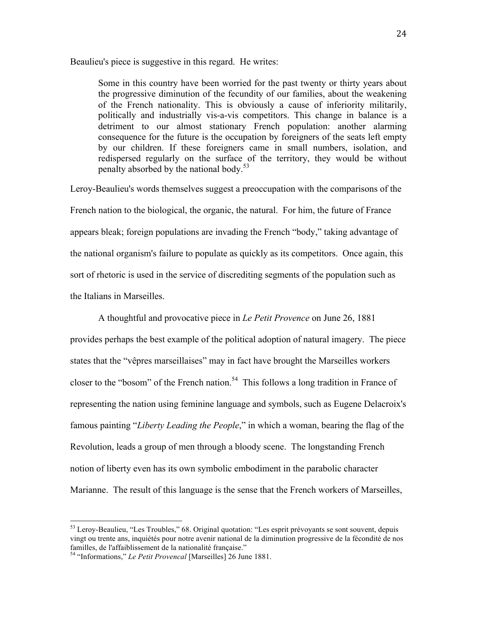Beaulieu's piece is suggestive in this regard. He writes:

Some in this country have been worried for the past twenty or thirty years about the progressive diminution of the fecundity of our families, about the weakening of the French nationality. This is obviously a cause of inferiority militarily, politically and industrially vis-a-vis competitors. This change in balance is a detriment to our almost stationary French population: another alarming consequence for the future is the occupation by foreigners of the seats left empty by our children. If these foreigners came in small numbers, isolation, and redispersed regularly on the surface of the territory, they would be without penalty absorbed by the national body.<sup>53</sup>

Leroy-Beaulieu's words themselves suggest a preoccupation with the comparisons of the French nation to the biological, the organic, the natural. For him, the future of France appears bleak; foreign populations are invading the French "body," taking advantage of the national organism's failure to populate as quickly as its competitors. Once again, this sort of rhetoric is used in the service of discrediting segments of the population such as the Italians in Marseilles.

A thoughtful and provocative piece in *Le Petit Provence* on June 26, 1881 provides perhaps the best example of the political adoption of natural imagery. The piece states that the "vêpres marseillaises" may in fact have brought the Marseilles workers closer to the "bosom" of the French nation.<sup>54</sup> This follows a long tradition in France of representing the nation using feminine language and symbols, such as Eugene Delacroix's famous painting "*Liberty Leading the People*," in which a woman, bearing the flag of the Revolution, leads a group of men through a bloody scene. The longstanding French notion of liberty even has its own symbolic embodiment in the parabolic character Marianne. The result of this language is the sense that the French workers of Marseilles,

 $53$  Leroy-Beaulieu, "Les Troubles," 68. Original quotation: "Les esprit prévoyants se sont souvent, depuis vingt ou trente ans, inquiétés pour notre avenir national de la diminution progressive de la fécondité de nos familles, de l'affaiblissement de la nationalité française."

<sup>54</sup> "Informations," *Le Petit Provencal* [Marseilles] 26 June 1881.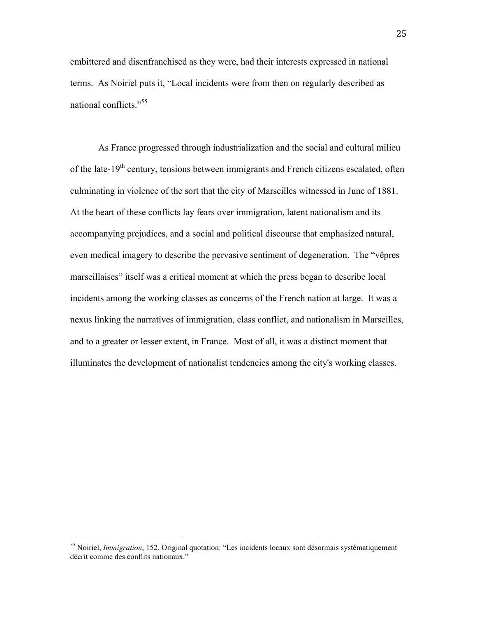embittered and disenfranchised as they were, had their interests expressed in national terms. As Noiriel puts it, "Local incidents were from then on regularly described as national conflicts."<sup>55</sup>

As France progressed through industrialization and the social and cultural milieu of the late-19<sup>th</sup> century, tensions between immigrants and French citizens escalated, often culminating in violence of the sort that the city of Marseilles witnessed in June of 1881. At the heart of these conflicts lay fears over immigration, latent nationalism and its accompanying prejudices, and a social and political discourse that emphasized natural, even medical imagery to describe the pervasive sentiment of degeneration. The "vêpres marseillaises" itself was a critical moment at which the press began to describe local incidents among the working classes as concerns of the French nation at large. It was a nexus linking the narratives of immigration, class conflict, and nationalism in Marseilles, and to a greater or lesser extent, in France. Most of all, it was a distinct moment that illuminates the development of nationalist tendencies among the city's working classes.

 <sup>55</sup> Noiriel, *Immigration*, 152. Original quotation: "Les incidents locaux sont désormais systématiquement décrit comme des conflits nationaux."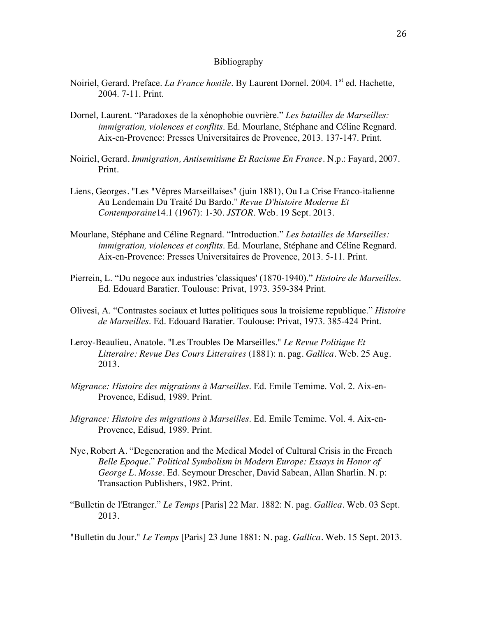## Bibliography

- Noiriel, Gerard. Preface. *La France hostile*. By Laurent Dornel. 2004. 1<sup>st</sup> ed. Hachette, 2004. 7-11. Print.
- Dornel, Laurent. "Paradoxes de la xénophobie ouvrière." *Les batailles de Marseilles: immigration, violences et conflits*. Ed. Mourlane, Stéphane and Céline Regnard. Aix-en-Provence: Presses Universitaires de Provence, 2013. 137-147. Print.
- Noiriel, Gerard. *Immigration, Antisemitisme Et Racisme En France*. N.p.: Fayard, 2007. Print.
- Liens, Georges. "Les "Vêpres Marseillaises" (juin 1881), Ou La Crise Franco-italienne Au Lendemain Du Traité Du Bardo." *Revue D'histoire Moderne Et Contemporaine*14.1 (1967): 1-30. *JSTOR*. Web. 19 Sept. 2013.
- Mourlane, Stéphane and Céline Regnard. "Introduction." *Les batailles de Marseilles: immigration, violences et conflits*. Ed. Mourlane, Stéphane and Céline Regnard. Aix-en-Provence: Presses Universitaires de Provence, 2013. 5-11. Print.
- Pierrein, L. "Du negoce aux industries 'classiques' (1870-1940)." *Histoire de Marseilles*. Ed. Edouard Baratier. Toulouse: Privat, 1973. 359-384 Print.
- Olivesi, A. "Contrastes sociaux et luttes politiques sous la troisieme republique." *Histoire de Marseilles*. Ed. Edouard Baratier. Toulouse: Privat, 1973. 385-424 Print.
- Leroy-Beaulieu, Anatole. "Les Troubles De Marseilles." *Le Revue Politique Et Litteraire: Revue Des Cours Litteraires* (1881): n. pag. *Gallica*. Web. 25 Aug. 2013.
- *Migrance: Histoire des migrations à Marseilles*. Ed. Emile Temime. Vol. 2. Aix-en-Provence, Edisud, 1989. Print.
- *Migrance: Histoire des migrations à Marseilles*. Ed. Emile Temime. Vol. 4. Aix-en-Provence, Edisud, 1989. Print.
- Nye, Robert A. "Degeneration and the Medical Model of Cultural Crisis in the French *Belle Epoque.*" *Political Symbolism in Modern Europe: Essays in Honor of George L. Mosse*. Ed. Seymour Drescher, David Sabean, Allan Sharlin. N. p: Transaction Publishers, 1982. Print.
- "Bulletin de l'Etranger." *Le Temps* [Paris] 22 Mar. 1882: N. pag. *Gallica*. Web. 03 Sept. 2013.

"Bulletin du Jour." *Le Temps* [Paris] 23 June 1881: N. pag. *Gallica*. Web. 15 Sept. 2013.